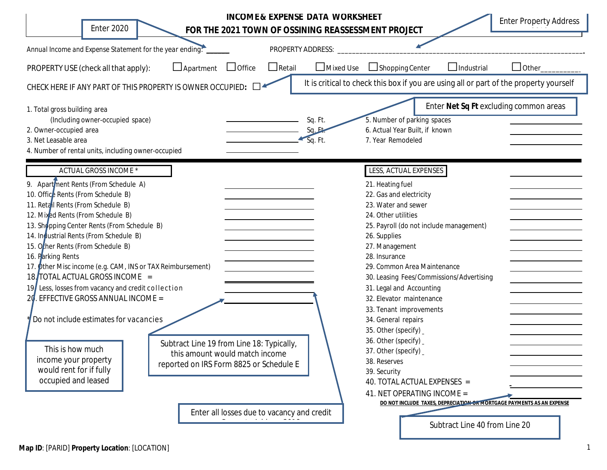| <b>Enter 2020</b>                                                                                                                                                                                                                                                                                                                                                                                                                                                                                                                                                                                                                                                              | FOR THE 2021 TOWN OF OSSINING REASSESSMENT PROJECT                                                                                                                   |               | <b>INCOME &amp; EXPENSE DATA WORKSHEET</b> |                                                                                                                                                                                                                                                                                                                                                                                                                                                                                                                                                                                                                                                                                     | <b>Enter Property Address</b>          |
|--------------------------------------------------------------------------------------------------------------------------------------------------------------------------------------------------------------------------------------------------------------------------------------------------------------------------------------------------------------------------------------------------------------------------------------------------------------------------------------------------------------------------------------------------------------------------------------------------------------------------------------------------------------------------------|----------------------------------------------------------------------------------------------------------------------------------------------------------------------|---------------|--------------------------------------------|-------------------------------------------------------------------------------------------------------------------------------------------------------------------------------------------------------------------------------------------------------------------------------------------------------------------------------------------------------------------------------------------------------------------------------------------------------------------------------------------------------------------------------------------------------------------------------------------------------------------------------------------------------------------------------------|----------------------------------------|
| Annual Income and Expense Statement for the year ending:                                                                                                                                                                                                                                                                                                                                                                                                                                                                                                                                                                                                                       |                                                                                                                                                                      |               | PROPERTY ADDRESS:                          |                                                                                                                                                                                                                                                                                                                                                                                                                                                                                                                                                                                                                                                                                     |                                        |
| PROPERTY USE (check all that apply):                                                                                                                                                                                                                                                                                                                                                                                                                                                                                                                                                                                                                                           | $\Box$ Apartment<br>$\Box$ Office                                                                                                                                    | $\Box$ Retail | $\Box$ Mixed Use                           | $\Box$ Industrial<br>$\Box$ Shopping Center                                                                                                                                                                                                                                                                                                                                                                                                                                                                                                                                                                                                                                         | $\Box$ Other                           |
| CHECK HERE IF ANY PART OF THIS PROPERTY IS OWNER OCCUPIED:                                                                                                                                                                                                                                                                                                                                                                                                                                                                                                                                                                                                                     |                                                                                                                                                                      |               |                                            | It is critical to check this box if you are using all or part of the property yourself                                                                                                                                                                                                                                                                                                                                                                                                                                                                                                                                                                                              |                                        |
| 1. Total gross building area<br>(Including owner-occupied space)<br>2. Owner-occupied area<br>3. Net Leasable area<br>4. Number of rental units, including owner-occupied                                                                                                                                                                                                                                                                                                                                                                                                                                                                                                      |                                                                                                                                                                      |               | Sq. Ft.<br>Sq.<br>Sq. Ft.                  | 5. Number of parking spaces<br>6. Actual Year Built, if known<br>7. Year Remodeled                                                                                                                                                                                                                                                                                                                                                                                                                                                                                                                                                                                                  | Enter Net Sq Ft excluding common areas |
| <b>ACTUAL GROSS INCOME *</b><br>9. Apartment Rents (From Schedule A)<br>10. Office Rents (From Schedule B)<br>11. Retail Rents (From Schedule B)<br>12. Mixed Rents (From Schedule B)<br>13. Shopping Center Rents (From Schedule B)<br>14. Industrial Rents (From Schedule B)<br>15. Other Rents (From Schedule B)<br>16. Parking Rents<br>17. Other Misc income (e.g. CAM, INS or TAX Reimbursement)<br>18. TOTAL ACTUAL GROSS INCOME =<br>19 Less, losses from vacancy and credit collection<br>20. EFFECTIVE GROSS ANNUAL INCOME =<br>Do not include estimates for vacancies<br>This is how much<br>income your property<br>would rent for if fully<br>occupied and leased | Subtract Line 19 from Line 18: Typically,<br>this amount would match income<br>reported on IRS Form 8825 or Schedule E<br>Enter all losses due to vacancy and credit |               |                                            | LESS, ACTUAL EXPENSES<br>21. Heating fuel<br>22. Gas and electricity<br>23. Water and sewer<br>24. Other utilities<br>25. Payroll (do not include management)<br>26. Supplies<br>27. Management<br>28. Insurance<br>29. Common Area Maintenance<br>30. Leasing Fees/Commissions/Advertising<br>31. Legal and Accounting<br>32. Elevator maintenance<br>33. Tenant improvements<br>34. General repairs<br>35. Other (specify)<br>36. Other (specify) _<br>37. Other (specify)<br>38. Reserves<br>39. Security<br>40. TOTAL ACTUAL EXPENSES =<br>41. NET OPERATING INCOME =<br>DO NOT INCLUDE TAXES, DEPRECIATION OR MORTGAGE PAYMENTS AS AN EXPENSE<br>Subtract Line 40 from Line 20 |                                        |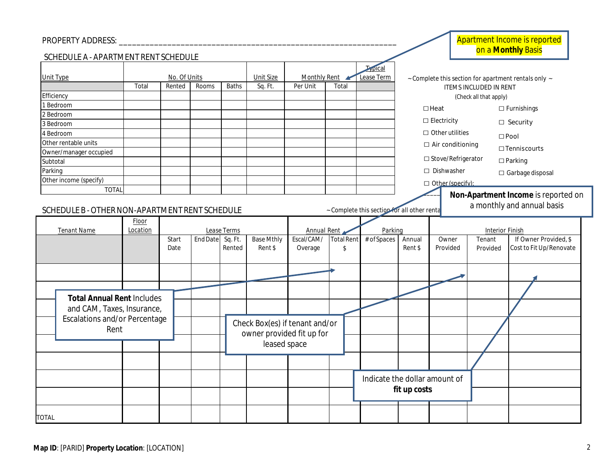## *PROPERTY ADDRESS: \_\_\_\_\_\_\_\_\_\_\_\_\_\_\_\_\_\_\_\_\_\_\_\_\_\_\_\_\_\_\_\_\_\_\_\_\_\_\_\_\_\_\_\_\_\_\_\_\_\_\_\_\_\_\_\_\_\_\_\_\_\_\_*

| <b>PROPERTY ADDRESS:</b>                                        |                   |                      |                  |                     |                              |                                                             |                  |                                             |                                                      |                           |                         | <b>Apartment Income is reported</b><br>on a Monthly Basis |  |  |
|-----------------------------------------------------------------|-------------------|----------------------|------------------|---------------------|------------------------------|-------------------------------------------------------------|------------------|---------------------------------------------|------------------------------------------------------|---------------------------|-------------------------|-----------------------------------------------------------|--|--|
| SCHEDULE A - APARTMENT RENT SCHEDULE                            |                   |                      |                  |                     |                              |                                                             |                  |                                             |                                                      |                           |                         |                                                           |  |  |
| <b>Unit Type</b><br>No. Of Units                                |                   |                      | <b>Unit Size</b> | <b>Monthly Rent</b> |                              | Lypical<br>Lease Term                                       |                  |                                             | ~ Complete this section for apartment rentals only ~ |                           |                         |                                                           |  |  |
| Total<br>Rented<br>Rooms<br>Efficiency                          |                   |                      |                  | <b>Baths</b>        | Sq. Ft.                      | Per Unit                                                    | Total            |                                             | ITEMS INCLUDED IN RENT<br>(Check all that apply)     |                           |                         |                                                           |  |  |
| 1 Bedroom                                                       |                   |                      |                  |                     |                              |                                                             |                  |                                             | $\Box$ Heat                                          |                           |                         |                                                           |  |  |
| 2 Bedroom                                                       |                   |                      |                  |                     |                              |                                                             |                  |                                             |                                                      |                           |                         | $\Box$ Furnishings                                        |  |  |
| 3 Bedroom                                                       |                   |                      |                  |                     |                              |                                                             |                  |                                             |                                                      | $\Box$ Electricity        |                         | $\Box$ Security                                           |  |  |
| 4 Bedroom                                                       |                   |                      |                  |                     |                              |                                                             |                  |                                             |                                                      | $\Box$ Other utilities    |                         | $\square$ Pool                                            |  |  |
| Other rentable units                                            |                   |                      |                  |                     |                              |                                                             |                  |                                             | $\Box$ Air conditioning                              |                           |                         |                                                           |  |  |
| Owner/manager occupied                                          |                   |                      |                  |                     |                              |                                                             |                  |                                             |                                                      |                           |                         | $\Box$ Tenniscourts                                       |  |  |
| Subtotal                                                        |                   |                      |                  |                     |                              |                                                             |                  |                                             |                                                      | $\Box$ Stove/Refrigerator |                         | $\Box$ Parking                                            |  |  |
| Parking                                                         |                   |                      |                  |                     |                              |                                                             |                  |                                             |                                                      | □ Dishwasher              | $\Box$ Garbage disposal |                                                           |  |  |
| Other income (specify)                                          |                   |                      |                  |                     |                              |                                                             |                  |                                             |                                                      | $\Box$ Other (specify):   |                         |                                                           |  |  |
| <b>TOTAL</b>                                                    |                   |                      |                  |                     |                              |                                                             |                  |                                             |                                                      |                           |                         | Non-Apartment Income is reported on                       |  |  |
| SCHEDULE B - OTHER NON-APARTMENT RENT SCHEDULE                  |                   |                      |                  |                     |                              |                                                             |                  | - Complete this section for all other renta |                                                      |                           |                         | a monthly and annual basis                                |  |  |
| <b>Tenant Name</b>                                              | Floor<br>Location |                      |                  | Lease Terms         |                              | Annual Rent                                                 |                  | Parking                                     |                                                      |                           | <b>Interior Finish</b>  |                                                           |  |  |
|                                                                 |                   | <b>Start</b><br>Date | End Date Sq. Ft. | Rented              | <b>Base Mthly</b><br>Rent \$ | Escal/CAM/<br>Overage                                       | Total Rent<br>\$ | $\overline{\#}$ of Spaces                   | Annual<br>Rent \$                                    | Owner<br>Provided         | Tenant<br>Provided      | If Owner Provided, \$<br>Cost to Fit Up/Renovate          |  |  |
|                                                                 |                   |                      |                  |                     |                              |                                                             |                  |                                             |                                                      |                           |                         |                                                           |  |  |
|                                                                 |                   |                      |                  |                     |                              |                                                             |                  |                                             |                                                      |                           |                         |                                                           |  |  |
| <b>Total Annual Rent Includes</b><br>and CAM, Taxes, Insurance, |                   |                      |                  |                     |                              |                                                             |                  |                                             |                                                      |                           |                         |                                                           |  |  |
| <b>Escalations and/or Percentage</b><br>Rent                    |                   |                      |                  |                     |                              | Check Box(es) if tenant and/or<br>owner provided fit up for |                  |                                             |                                                      |                           |                         |                                                           |  |  |

|              |                                                                 |  | Date | Rented | Rent \$                                                                     | Overage | \$ |                               | Rent \$      | Provided | Provided | Cost to Fit Up/Renovate |
|--------------|-----------------------------------------------------------------|--|------|--------|-----------------------------------------------------------------------------|---------|----|-------------------------------|--------------|----------|----------|-------------------------|
|              |                                                                 |  |      |        |                                                                             |         |    |                               |              |          |          |                         |
|              | <b>Total Annual Rent Includes</b><br>and CAM, Taxes, Insurance, |  |      |        |                                                                             |         |    |                               |              |          |          |                         |
|              | <b>Escalations and/or Percentage</b><br>Rent                    |  |      |        | Check Box(es) if tenant and/or<br>owner provided fit up for<br>leased space |         |    |                               |              |          |          |                         |
|              |                                                                 |  |      |        |                                                                             |         |    |                               |              |          |          |                         |
|              |                                                                 |  |      |        |                                                                             |         |    | Indicate the dollar amount of |              |          |          |                         |
|              |                                                                 |  |      |        |                                                                             |         |    |                               | fit up costs |          |          |                         |
| <b>TOTAL</b> |                                                                 |  |      |        |                                                                             |         |    |                               |              |          |          |                         |